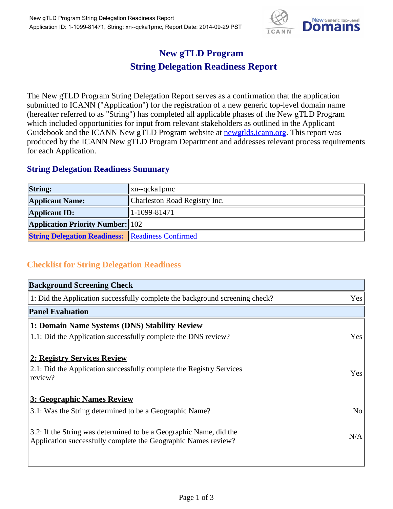

## **New gTLD Program String Delegation Readiness Report**

The New gTLD Program String Delegation Report serves as a confirmation that the application submitted to ICANN ("Application") for the registration of a new generic top-level domain name (hereafter referred to as "String") has completed all applicable phases of the New gTLD Program which included opportunities for input from relevant stakeholders as outlined in the Applicant Guidebook and the ICANN New gTLD Program website at **newgtlds.icann.org**. This report was produced by the ICANN New gTLD Program Department and addresses relevant process requirements for each Application.

## **String Delegation Readiness Summary**

| <b>String:</b>                                          | $\ $ xn--qcka1pmc             |
|---------------------------------------------------------|-------------------------------|
| <b>Applicant Name:</b>                                  | Charleston Road Registry Inc. |
| <b>Applicant ID:</b>                                    | $ 1-1099-81471$               |
| <b>Application Priority Number:</b> 102                 |                               |
| <b>String Delegation Readiness:</b> Readiness Confirmed |                               |

## **Checklist for String Delegation Readiness**

| <b>Background Screening Check</b>                                                                                                    |                |
|--------------------------------------------------------------------------------------------------------------------------------------|----------------|
| 1: Did the Application successfully complete the background screening check?                                                         | Yes            |
| <b>Panel Evaluation</b>                                                                                                              |                |
| 1: Domain Name Systems (DNS) Stability Review                                                                                        |                |
| 1.1: Did the Application successfully complete the DNS review?                                                                       | Yes            |
| 2: Registry Services Review                                                                                                          |                |
| 2.1: Did the Application successfully complete the Registry Services<br>review?                                                      | Yes            |
| 3: Geographic Names Review                                                                                                           |                |
| 3.1: Was the String determined to be a Geographic Name?                                                                              | N <sub>o</sub> |
| 3.2: If the String was determined to be a Geographic Name, did the<br>Application successfully complete the Geographic Names review? | N/A            |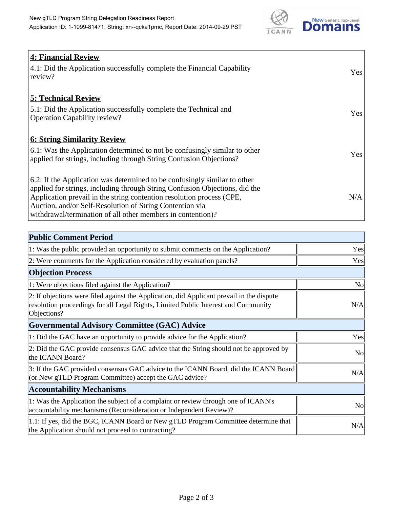

| <b>4: Financial Review</b><br>4.1: Did the Application successfully complete the Financial Capability<br>review?                                                                                                                                                                                                                                             | Yes |
|--------------------------------------------------------------------------------------------------------------------------------------------------------------------------------------------------------------------------------------------------------------------------------------------------------------------------------------------------------------|-----|
| <b>5: Technical Review</b><br>5.1: Did the Application successfully complete the Technical and<br><b>Operation Capability review?</b>                                                                                                                                                                                                                        | Yes |
| <u><b>6: String Similarity Review</b></u><br>6.1: Was the Application determined to not be confusingly similar to other<br>applied for strings, including through String Confusion Objections?                                                                                                                                                               | Yes |
| 6.2: If the Application was determined to be confusingly similar to other<br>applied for strings, including through String Confusion Objections, did the<br>Application prevail in the string contention resolution process (CPE,<br>Auction, and/or Self-Resolution of String Contention via<br>withdrawal/termination of all other members in contention)? | N/A |

| <b>Public Comment Period</b>                                                                                                                                                                   |           |
|------------------------------------------------------------------------------------------------------------------------------------------------------------------------------------------------|-----------|
| 1: Was the public provided an opportunity to submit comments on the Application?                                                                                                               | Yes       |
| 2: Were comments for the Application considered by evaluation panels?                                                                                                                          | Yes       |
| <b>Objection Process</b>                                                                                                                                                                       |           |
| 1: Were objections filed against the Application?                                                                                                                                              | <b>No</b> |
| 2: If objections were filed against the Application, did Applicant prevail in the dispute<br>resolution proceedings for all Legal Rights, Limited Public Interest and Community<br>Objections? | N/A       |
| <b>Governmental Advisory Committee (GAC) Advice</b>                                                                                                                                            |           |
| 1: Did the GAC have an opportunity to provide advice for the Application?                                                                                                                      | Yes       |
| 2: Did the GAC provide consensus GAC advice that the String should not be approved by<br>the ICANN Board?                                                                                      | <b>No</b> |
| 3: If the GAC provided consensus GAC advice to the ICANN Board, did the ICANN Board<br>(or New gTLD Program Committee) accept the GAC advice?                                                  | N/A       |
| <b>Accountability Mechanisms</b>                                                                                                                                                               |           |
| 1: Was the Application the subject of a complaint or review through one of ICANN's<br>accountability mechanisms (Reconsideration or Independent Review)?                                       | <b>No</b> |
| 1.1: If yes, did the BGC, ICANN Board or New gTLD Program Committee determine that<br>the Application should not proceed to contracting?                                                       | N/A       |